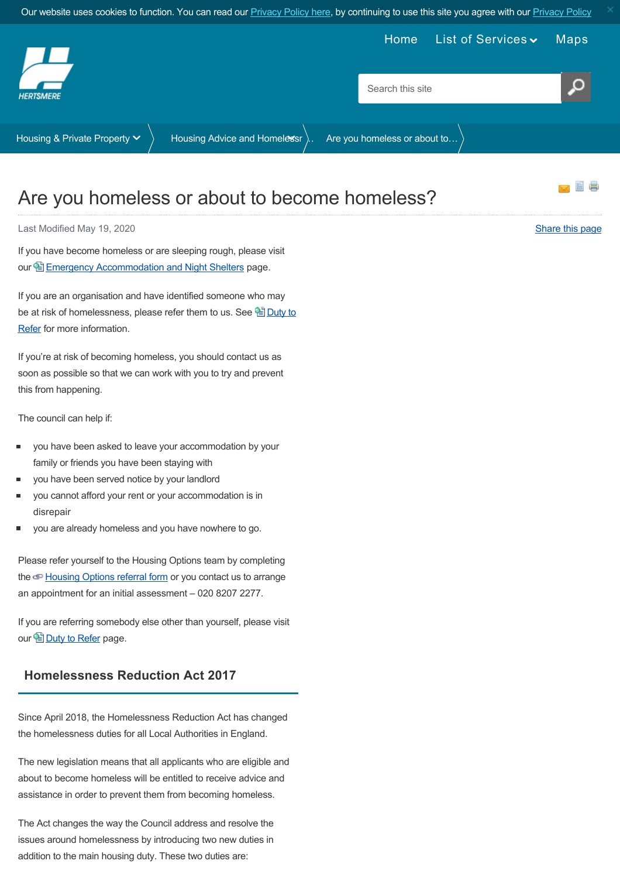<span id="page-0-0"></span>

# Are you homeless or about to become homeless?

Last Modified May 19, 2020 [Share this page](http://www.addthis.com/bookmark.php?v=250&pubid=xa-502e5fd570edcb1e) of the state of the state of the state of the state of the state of the state of the state of the state of the state of the state of the state of the state of the state of the sta

If you have become homeless or are sleeping rough, please visit our 图 [Emergency Accommodation and Night Shelters](https://www.hertsmere.gov.uk/Housing--Private-Property/Housing-Advice-and-Homelessness/Emergency-accommodation-and-night-shelters.aspx) page.

If you are an organisation and have identified someone who may be at risk of homelessness, please refer them to us. See louty to Refer for more information.

If you're at risk of becoming homeless, you should contact us as soon as possible so that we can work with you to try and prevent this from happening.

The council can help if:

- you have been asked to leave your accommodation by your family or friends you have been staying with
- you have been served notice by your landlord
- you cannot afford your rent or your accommodation is in disrepair
- you are already homeless and you have nowhere to go.

Please refer yourself to the Housing Options team by completing the  $\bigcirc$  [Housing Options referral form](https://hpa2.org/refer/HMBC) or you contact us to arrange an appointment for an initial assessment – 020 8207 2277.

If you are referring somebody else other than yourself, please visit our <u>Duty</u> to Refer page.

# **Homelessness Reduction Act 2017**

Since April 2018, the Homelessness Reduction Act has changed the homelessness duties for all Local Authorities in England.

The new legislation means that all applicants who are eligible and about to become homeless will be entitled to receive advice and assistance in order to prevent them from becoming homeless.

The Act changes the way the Council address and resolve the issues around homelessness by introducing two new duties in addition to the main housing duty. These two duties are: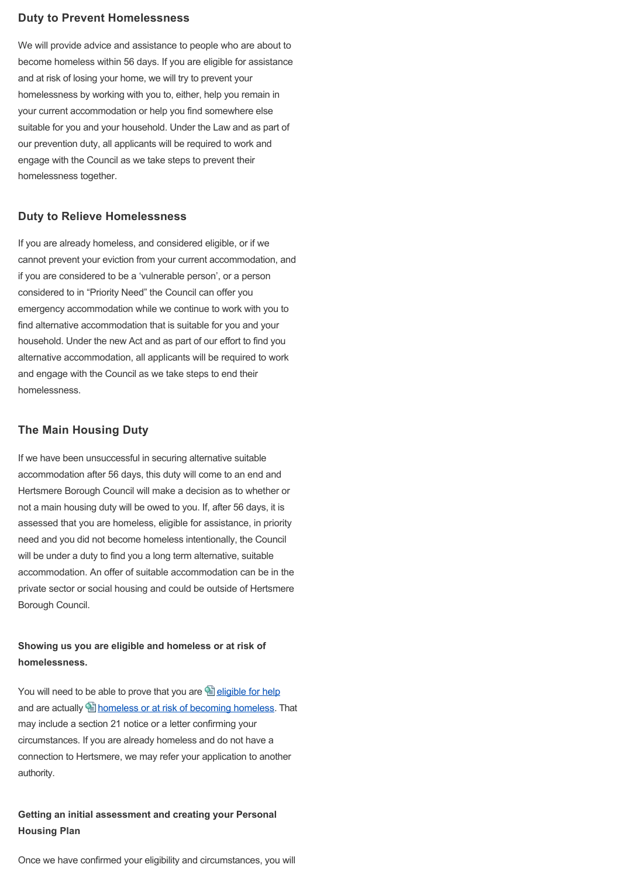#### **Duty to Prevent Homelessness**

We will provide advice and assistance to people who are about to become homeless within 56 days. If you are eligible for assistance and at risk of losing your home, we will try to prevent your homelessness by working with you to, either, help you remain in your current accommodation or help you find somewhere else suitable for you and your household. Under the Law and as part of our prevention duty, all applicants will be required to work and engage with the Council as we take steps to prevent their homelessness together.

#### **Duty to Relieve Homelessness**

If you are already homeless, and considered eligible, or if we cannot prevent your eviction from your current accommodation, and if you are considered to be a 'vulnerable person', or a person considered to in "Priority Need" the Council can offer you emergency accommodation while we continue to work with you to find alternative accommodation that is suitable for you and your household. Under the new Act and as part of our effort to find you alternative accommodation, all applicants will be required to work and engage with the Council as we take steps to end their homelessness.

#### **The Main Housing Duty**

If we have been unsuccessful in securing alternative suitable accommodation after 56 days, this duty will come to an end and Hertsmere Borough Council will make a decision as to whether or not a main housing duty will be owed to you. If, after 56 days, it is assessed that you are homeless, eligible for assistance, in priority need and you did not become homeless intentionally, the Council will be under a duty to find you a long term alternative, suitable accommodation. An offer of suitable accommodation can be in the private sector or social housing and could be outside of Hertsmere Borough Council.

### **Showing us you are eligible and homeless or at risk of homelessness.**

You will need to be able to prove that you are  $\Box$  [eligible for help](https://www.hertsmere.gov.uk/Housing--Private-Property/Housing-Advice-and-Homelessness/Housing-Advice.aspx) and are actually **in** [homeless or at risk of becoming homeless](https://www.hertsmere.gov.uk/Housing--Private-Property/Housing-Advice-and-Homelessness/Housing-Advice.aspx). That may include a section 21 notice or a letter confirming your circumstances. If you are already homeless and do not have a connection to Hertsmere, we may refer your application to another authority.

## **Getting an initial assessment and creating your Personal Housing Plan**